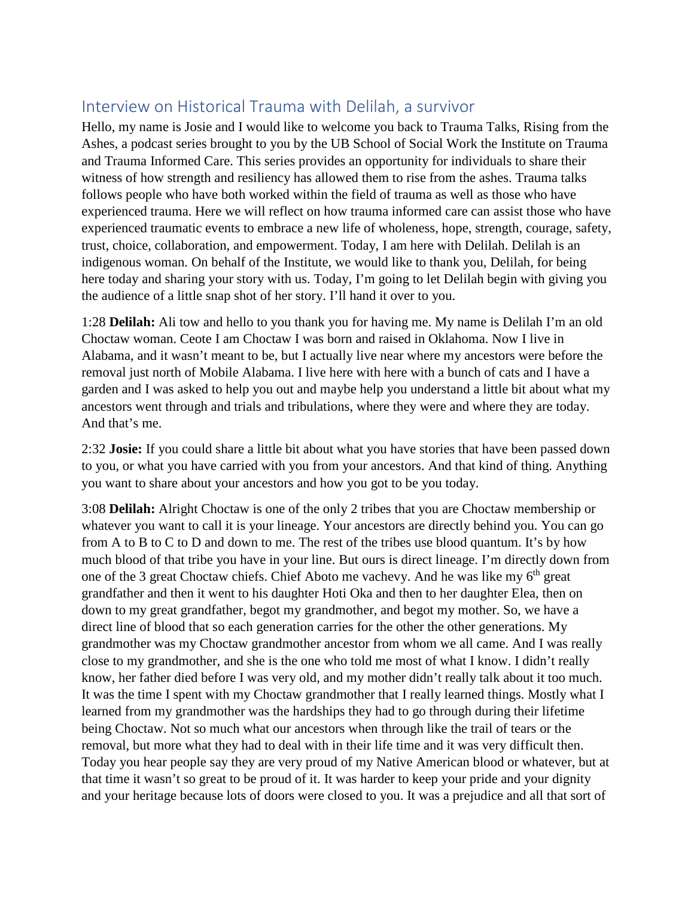## Interview on Historical Trauma with Delilah, a survivor

Hello, my name is Josie and I would like to welcome you back to Trauma Talks, Rising from the Ashes, a podcast series brought to you by the UB School of Social Work the Institute on Trauma and Trauma Informed Care. This series provides an opportunity for individuals to share their witness of how strength and resiliency has allowed them to rise from the ashes. Trauma talks follows people who have both worked within the field of trauma as well as those who have experienced trauma. Here we will reflect on how trauma informed care can assist those who have experienced traumatic events to embrace a new life of wholeness, hope, strength, courage, safety, trust, choice, collaboration, and empowerment. Today, I am here with Delilah. Delilah is an indigenous woman. On behalf of the Institute, we would like to thank you, Delilah, for being here today and sharing your story with us. Today, I'm going to let Delilah begin with giving you the audience of a little snap shot of her story. I'll hand it over to you.

1:28 **Delilah:** Ali tow and hello to you thank you for having me. My name is Delilah I'm an old Choctaw woman. Ceote I am Choctaw I was born and raised in Oklahoma. Now I live in Alabama, and it wasn't meant to be, but I actually live near where my ancestors were before the removal just north of Mobile Alabama. I live here with here with a bunch of cats and I have a garden and I was asked to help you out and maybe help you understand a little bit about what my ancestors went through and trials and tribulations, where they were and where they are today. And that's me.

2:32 **Josie:** If you could share a little bit about what you have stories that have been passed down to you, or what you have carried with you from your ancestors. And that kind of thing. Anything you want to share about your ancestors and how you got to be you today.

3:08 **Delilah:** Alright Choctaw is one of the only 2 tribes that you are Choctaw membership or whatever you want to call it is your lineage. Your ancestors are directly behind you. You can go from A to B to C to D and down to me. The rest of the tribes use blood quantum. It's by how much blood of that tribe you have in your line. But ours is direct lineage. I'm directly down from one of the 3 great Choctaw chiefs. Chief Aboto me vachevy. And he was like my  $6<sup>th</sup>$  great grandfather and then it went to his daughter Hoti Oka and then to her daughter Elea, then on down to my great grandfather, begot my grandmother, and begot my mother. So, we have a direct line of blood that so each generation carries for the other the other generations. My grandmother was my Choctaw grandmother ancestor from whom we all came. And I was really close to my grandmother, and she is the one who told me most of what I know. I didn't really know, her father died before I was very old, and my mother didn't really talk about it too much. It was the time I spent with my Choctaw grandmother that I really learned things. Mostly what I learned from my grandmother was the hardships they had to go through during their lifetime being Choctaw. Not so much what our ancestors when through like the trail of tears or the removal, but more what they had to deal with in their life time and it was very difficult then. Today you hear people say they are very proud of my Native American blood or whatever, but at that time it wasn't so great to be proud of it. It was harder to keep your pride and your dignity and your heritage because lots of doors were closed to you. It was a prejudice and all that sort of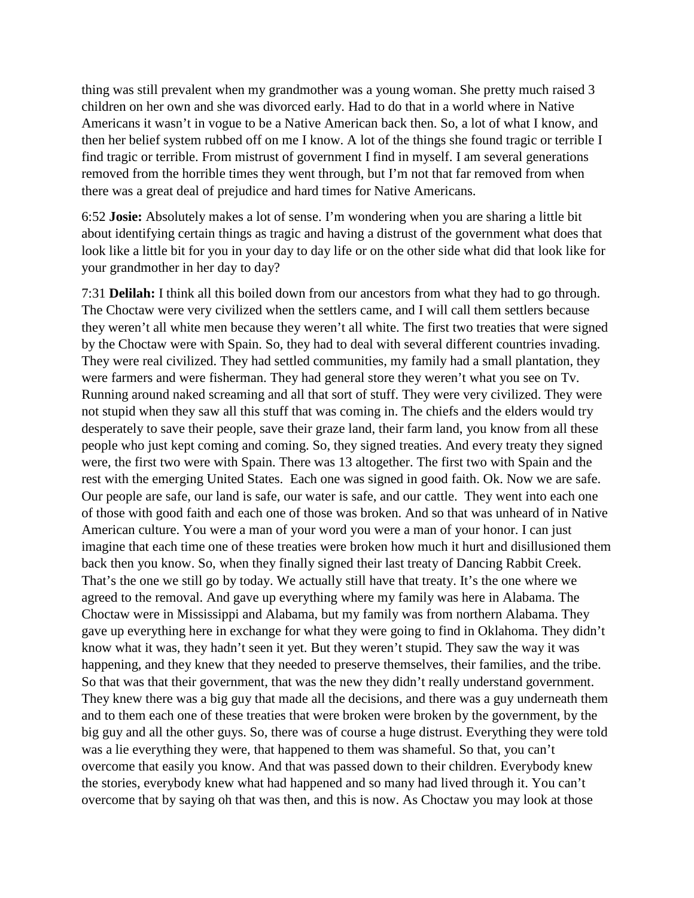thing was still prevalent when my grandmother was a young woman. She pretty much raised 3 children on her own and she was divorced early. Had to do that in a world where in Native Americans it wasn't in vogue to be a Native American back then. So, a lot of what I know, and then her belief system rubbed off on me I know. A lot of the things she found tragic or terrible I find tragic or terrible. From mistrust of government I find in myself. I am several generations removed from the horrible times they went through, but I'm not that far removed from when there was a great deal of prejudice and hard times for Native Americans.

6:52 **Josie:** Absolutely makes a lot of sense. I'm wondering when you are sharing a little bit about identifying certain things as tragic and having a distrust of the government what does that look like a little bit for you in your day to day life or on the other side what did that look like for your grandmother in her day to day?

7:31 **Delilah:** I think all this boiled down from our ancestors from what they had to go through. The Choctaw were very civilized when the settlers came, and I will call them settlers because they weren't all white men because they weren't all white. The first two treaties that were signed by the Choctaw were with Spain. So, they had to deal with several different countries invading. They were real civilized. They had settled communities, my family had a small plantation, they were farmers and were fisherman. They had general store they weren't what you see on Tv. Running around naked screaming and all that sort of stuff. They were very civilized. They were not stupid when they saw all this stuff that was coming in. The chiefs and the elders would try desperately to save their people, save their graze land, their farm land, you know from all these people who just kept coming and coming. So, they signed treaties. And every treaty they signed were, the first two were with Spain. There was 13 altogether. The first two with Spain and the rest with the emerging United States. Each one was signed in good faith. Ok. Now we are safe. Our people are safe, our land is safe, our water is safe, and our cattle. They went into each one of those with good faith and each one of those was broken. And so that was unheard of in Native American culture. You were a man of your word you were a man of your honor. I can just imagine that each time one of these treaties were broken how much it hurt and disillusioned them back then you know. So, when they finally signed their last treaty of Dancing Rabbit Creek. That's the one we still go by today. We actually still have that treaty. It's the one where we agreed to the removal. And gave up everything where my family was here in Alabama. The Choctaw were in Mississippi and Alabama, but my family was from northern Alabama. They gave up everything here in exchange for what they were going to find in Oklahoma. They didn't know what it was, they hadn't seen it yet. But they weren't stupid. They saw the way it was happening, and they knew that they needed to preserve themselves, their families, and the tribe. So that was that their government, that was the new they didn't really understand government. They knew there was a big guy that made all the decisions, and there was a guy underneath them and to them each one of these treaties that were broken were broken by the government, by the big guy and all the other guys. So, there was of course a huge distrust. Everything they were told was a lie everything they were, that happened to them was shameful. So that, you can't overcome that easily you know. And that was passed down to their children. Everybody knew the stories, everybody knew what had happened and so many had lived through it. You can't overcome that by saying oh that was then, and this is now. As Choctaw you may look at those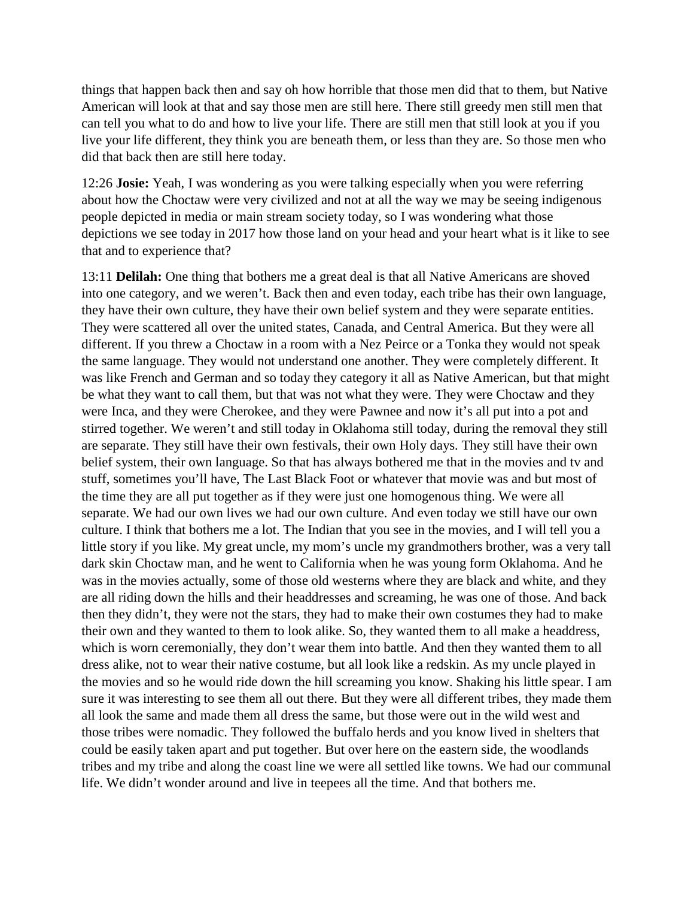things that happen back then and say oh how horrible that those men did that to them, but Native American will look at that and say those men are still here. There still greedy men still men that can tell you what to do and how to live your life. There are still men that still look at you if you live your life different, they think you are beneath them, or less than they are. So those men who did that back then are still here today.

12:26 **Josie:** Yeah, I was wondering as you were talking especially when you were referring about how the Choctaw were very civilized and not at all the way we may be seeing indigenous people depicted in media or main stream society today, so I was wondering what those depictions we see today in 2017 how those land on your head and your heart what is it like to see that and to experience that?

13:11 **Delilah:** One thing that bothers me a great deal is that all Native Americans are shoved into one category, and we weren't. Back then and even today, each tribe has their own language, they have their own culture, they have their own belief system and they were separate entities. They were scattered all over the united states, Canada, and Central America. But they were all different. If you threw a Choctaw in a room with a Nez Peirce or a Tonka they would not speak the same language. They would not understand one another. They were completely different. It was like French and German and so today they category it all as Native American, but that might be what they want to call them, but that was not what they were. They were Choctaw and they were Inca, and they were Cherokee, and they were Pawnee and now it's all put into a pot and stirred together. We weren't and still today in Oklahoma still today, during the removal they still are separate. They still have their own festivals, their own Holy days. They still have their own belief system, their own language. So that has always bothered me that in the movies and tv and stuff, sometimes you'll have, The Last Black Foot or whatever that movie was and but most of the time they are all put together as if they were just one homogenous thing. We were all separate. We had our own lives we had our own culture. And even today we still have our own culture. I think that bothers me a lot. The Indian that you see in the movies, and I will tell you a little story if you like. My great uncle, my mom's uncle my grandmothers brother, was a very tall dark skin Choctaw man, and he went to California when he was young form Oklahoma. And he was in the movies actually, some of those old westerns where they are black and white, and they are all riding down the hills and their headdresses and screaming, he was one of those. And back then they didn't, they were not the stars, they had to make their own costumes they had to make their own and they wanted to them to look alike. So, they wanted them to all make a headdress, which is worn ceremonially, they don't wear them into battle. And then they wanted them to all dress alike, not to wear their native costume, but all look like a redskin. As my uncle played in the movies and so he would ride down the hill screaming you know. Shaking his little spear. I am sure it was interesting to see them all out there. But they were all different tribes, they made them all look the same and made them all dress the same, but those were out in the wild west and those tribes were nomadic. They followed the buffalo herds and you know lived in shelters that could be easily taken apart and put together. But over here on the eastern side, the woodlands tribes and my tribe and along the coast line we were all settled like towns. We had our communal life. We didn't wonder around and live in teepees all the time. And that bothers me.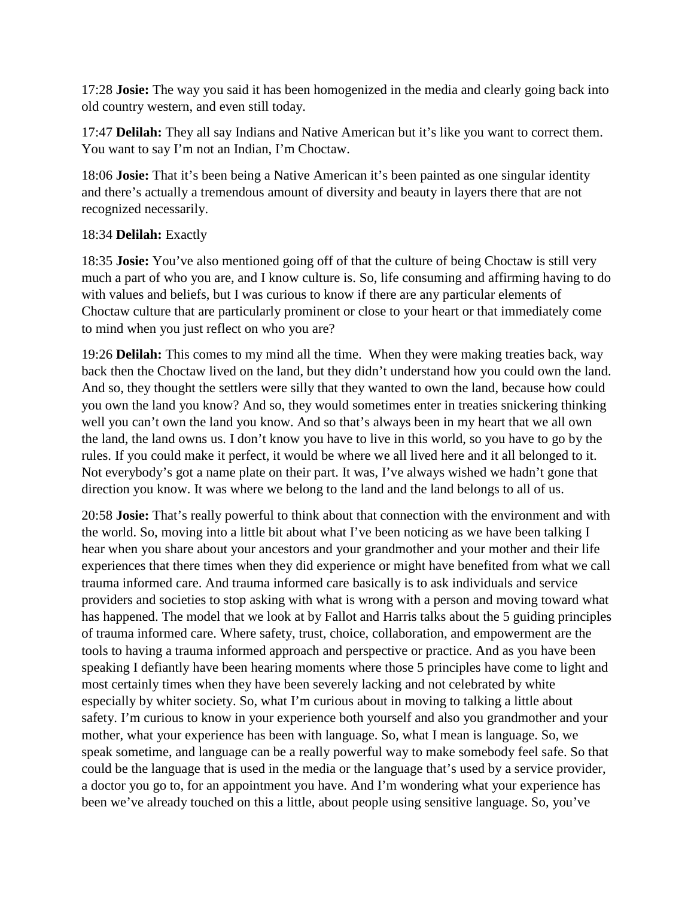17:28 **Josie:** The way you said it has been homogenized in the media and clearly going back into old country western, and even still today.

17:47 **Delilah:** They all say Indians and Native American but it's like you want to correct them. You want to say I'm not an Indian, I'm Choctaw.

18:06 **Josie:** That it's been being a Native American it's been painted as one singular identity and there's actually a tremendous amount of diversity and beauty in layers there that are not recognized necessarily.

## 18:34 **Delilah:** Exactly

18:35 **Josie:** You've also mentioned going off of that the culture of being Choctaw is still very much a part of who you are, and I know culture is. So, life consuming and affirming having to do with values and beliefs, but I was curious to know if there are any particular elements of Choctaw culture that are particularly prominent or close to your heart or that immediately come to mind when you just reflect on who you are?

19:26 **Delilah:** This comes to my mind all the time. When they were making treaties back, way back then the Choctaw lived on the land, but they didn't understand how you could own the land. And so, they thought the settlers were silly that they wanted to own the land, because how could you own the land you know? And so, they would sometimes enter in treaties snickering thinking well you can't own the land you know. And so that's always been in my heart that we all own the land, the land owns us. I don't know you have to live in this world, so you have to go by the rules. If you could make it perfect, it would be where we all lived here and it all belonged to it. Not everybody's got a name plate on their part. It was, I've always wished we hadn't gone that direction you know. It was where we belong to the land and the land belongs to all of us.

20:58 **Josie:** That's really powerful to think about that connection with the environment and with the world. So, moving into a little bit about what I've been noticing as we have been talking I hear when you share about your ancestors and your grandmother and your mother and their life experiences that there times when they did experience or might have benefited from what we call trauma informed care. And trauma informed care basically is to ask individuals and service providers and societies to stop asking with what is wrong with a person and moving toward what has happened. The model that we look at by Fallot and Harris talks about the 5 guiding principles of trauma informed care. Where safety, trust, choice, collaboration, and empowerment are the tools to having a trauma informed approach and perspective or practice. And as you have been speaking I defiantly have been hearing moments where those 5 principles have come to light and most certainly times when they have been severely lacking and not celebrated by white especially by whiter society. So, what I'm curious about in moving to talking a little about safety. I'm curious to know in your experience both yourself and also you grandmother and your mother, what your experience has been with language. So, what I mean is language. So, we speak sometime, and language can be a really powerful way to make somebody feel safe. So that could be the language that is used in the media or the language that's used by a service provider, a doctor you go to, for an appointment you have. And I'm wondering what your experience has been we've already touched on this a little, about people using sensitive language. So, you've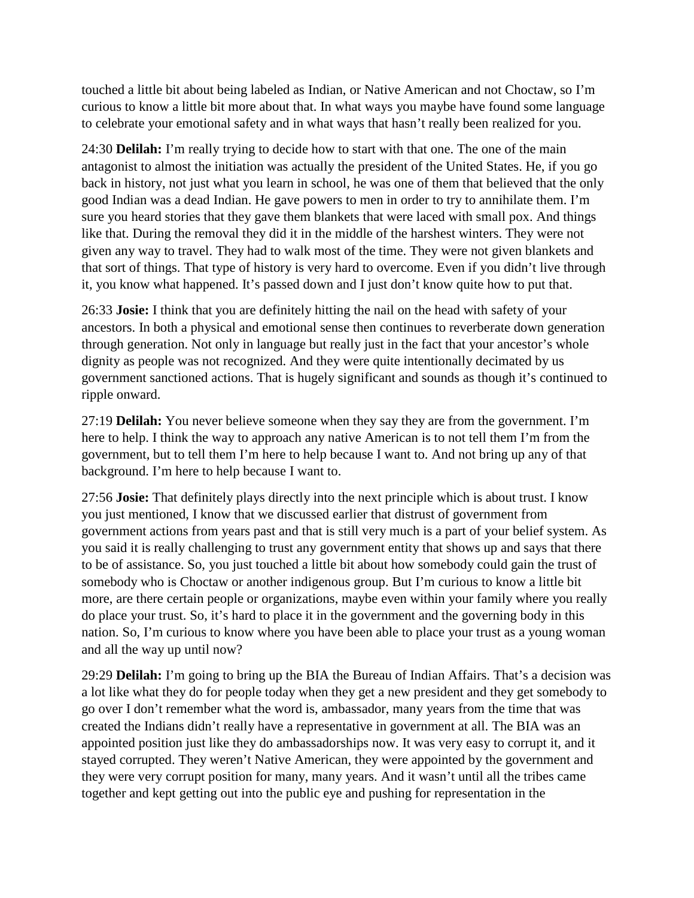touched a little bit about being labeled as Indian, or Native American and not Choctaw, so I'm curious to know a little bit more about that. In what ways you maybe have found some language to celebrate your emotional safety and in what ways that hasn't really been realized for you.

24:30 **Delilah:** I'm really trying to decide how to start with that one. The one of the main antagonist to almost the initiation was actually the president of the United States. He, if you go back in history, not just what you learn in school, he was one of them that believed that the only good Indian was a dead Indian. He gave powers to men in order to try to annihilate them. I'm sure you heard stories that they gave them blankets that were laced with small pox. And things like that. During the removal they did it in the middle of the harshest winters. They were not given any way to travel. They had to walk most of the time. They were not given blankets and that sort of things. That type of history is very hard to overcome. Even if you didn't live through it, you know what happened. It's passed down and I just don't know quite how to put that.

26:33 **Josie:** I think that you are definitely hitting the nail on the head with safety of your ancestors. In both a physical and emotional sense then continues to reverberate down generation through generation. Not only in language but really just in the fact that your ancestor's whole dignity as people was not recognized. And they were quite intentionally decimated by us government sanctioned actions. That is hugely significant and sounds as though it's continued to ripple onward.

27:19 **Delilah:** You never believe someone when they say they are from the government. I'm here to help. I think the way to approach any native American is to not tell them I'm from the government, but to tell them I'm here to help because I want to. And not bring up any of that background. I'm here to help because I want to.

27:56 **Josie:** That definitely plays directly into the next principle which is about trust. I know you just mentioned, I know that we discussed earlier that distrust of government from government actions from years past and that is still very much is a part of your belief system. As you said it is really challenging to trust any government entity that shows up and says that there to be of assistance. So, you just touched a little bit about how somebody could gain the trust of somebody who is Choctaw or another indigenous group. But I'm curious to know a little bit more, are there certain people or organizations, maybe even within your family where you really do place your trust. So, it's hard to place it in the government and the governing body in this nation. So, I'm curious to know where you have been able to place your trust as a young woman and all the way up until now?

29:29 **Delilah:** I'm going to bring up the BIA the Bureau of Indian Affairs. That's a decision was a lot like what they do for people today when they get a new president and they get somebody to go over I don't remember what the word is, ambassador, many years from the time that was created the Indians didn't really have a representative in government at all. The BIA was an appointed position just like they do ambassadorships now. It was very easy to corrupt it, and it stayed corrupted. They weren't Native American, they were appointed by the government and they were very corrupt position for many, many years. And it wasn't until all the tribes came together and kept getting out into the public eye and pushing for representation in the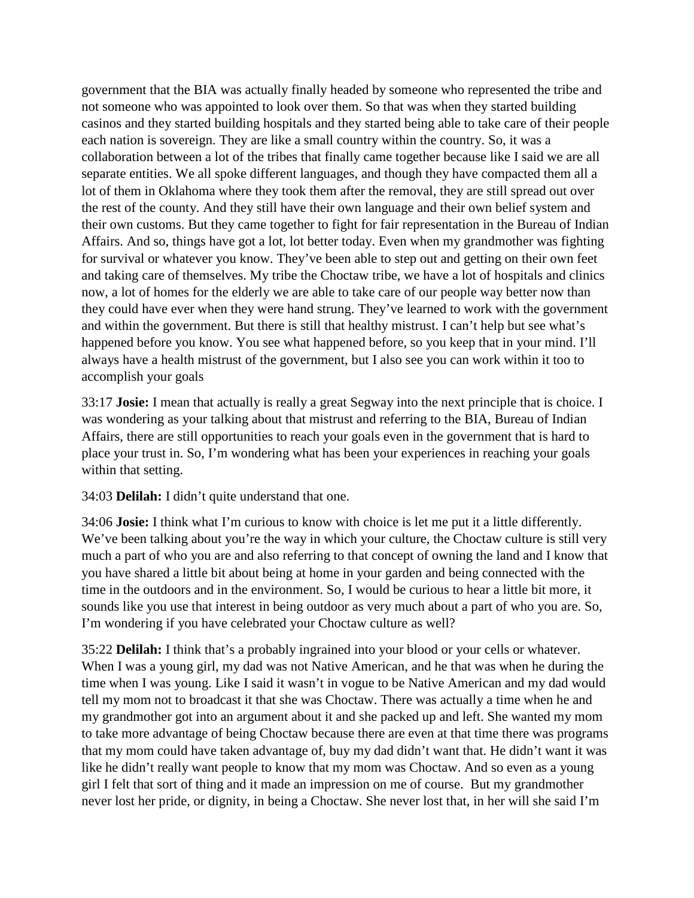government that the BIA was actually finally headed by someone who represented the tribe and not someone who was appointed to look over them. So that was when they started building casinos and they started building hospitals and they started being able to take care of their people each nation is sovereign. They are like a small country within the country. So, it was a collaboration between a lot of the tribes that finally came together because like I said we are all separate entities. We all spoke different languages, and though they have compacted them all a lot of them in Oklahoma where they took them after the removal, they are still spread out over the rest of the county. And they still have their own language and their own belief system and their own customs. But they came together to fight for fair representation in the Bureau of Indian Affairs. And so, things have got a lot, lot better today. Even when my grandmother was fighting for survival or whatever you know. They've been able to step out and getting on their own feet and taking care of themselves. My tribe the Choctaw tribe, we have a lot of hospitals and clinics now, a lot of homes for the elderly we are able to take care of our people way better now than they could have ever when they were hand strung. They've learned to work with the government and within the government. But there is still that healthy mistrust. I can't help but see what's happened before you know. You see what happened before, so you keep that in your mind. I'll always have a health mistrust of the government, but I also see you can work within it too to accomplish your goals

33:17 **Josie:** I mean that actually is really a great Segway into the next principle that is choice. I was wondering as your talking about that mistrust and referring to the BIA, Bureau of Indian Affairs, there are still opportunities to reach your goals even in the government that is hard to place your trust in. So, I'm wondering what has been your experiences in reaching your goals within that setting.

34:03 **Delilah:** I didn't quite understand that one.

34:06 **Josie:** I think what I'm curious to know with choice is let me put it a little differently. We've been talking about you're the way in which your culture, the Choctaw culture is still very much a part of who you are and also referring to that concept of owning the land and I know that you have shared a little bit about being at home in your garden and being connected with the time in the outdoors and in the environment. So, I would be curious to hear a little bit more, it sounds like you use that interest in being outdoor as very much about a part of who you are. So, I'm wondering if you have celebrated your Choctaw culture as well?

35:22 **Delilah:** I think that's a probably ingrained into your blood or your cells or whatever. When I was a young girl, my dad was not Native American, and he that was when he during the time when I was young. Like I said it wasn't in vogue to be Native American and my dad would tell my mom not to broadcast it that she was Choctaw. There was actually a time when he and my grandmother got into an argument about it and she packed up and left. She wanted my mom to take more advantage of being Choctaw because there are even at that time there was programs that my mom could have taken advantage of, buy my dad didn't want that. He didn't want it was like he didn't really want people to know that my mom was Choctaw. And so even as a young girl I felt that sort of thing and it made an impression on me of course. But my grandmother never lost her pride, or dignity, in being a Choctaw. She never lost that, in her will she said I'm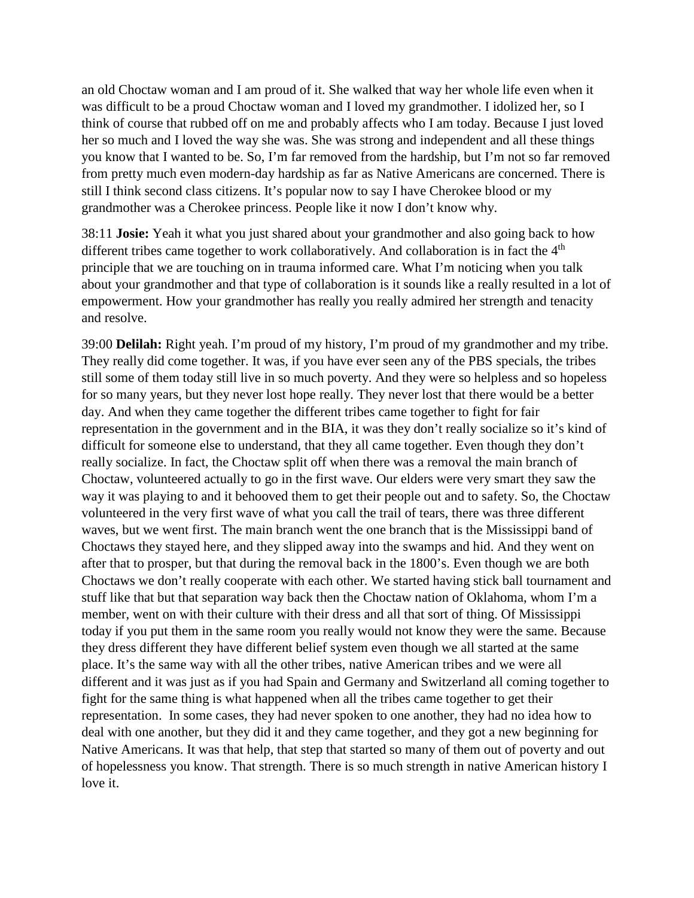an old Choctaw woman and I am proud of it. She walked that way her whole life even when it was difficult to be a proud Choctaw woman and I loved my grandmother. I idolized her, so I think of course that rubbed off on me and probably affects who I am today. Because I just loved her so much and I loved the way she was. She was strong and independent and all these things you know that I wanted to be. So, I'm far removed from the hardship, but I'm not so far removed from pretty much even modern-day hardship as far as Native Americans are concerned. There is still I think second class citizens. It's popular now to say I have Cherokee blood or my grandmother was a Cherokee princess. People like it now I don't know why.

38:11 **Josie:** Yeah it what you just shared about your grandmother and also going back to how different tribes came together to work collaboratively. And collaboration is in fact the  $4<sup>th</sup>$ principle that we are touching on in trauma informed care. What I'm noticing when you talk about your grandmother and that type of collaboration is it sounds like a really resulted in a lot of empowerment. How your grandmother has really you really admired her strength and tenacity and resolve.

39:00 **Delilah:** Right yeah. I'm proud of my history, I'm proud of my grandmother and my tribe. They really did come together. It was, if you have ever seen any of the PBS specials, the tribes still some of them today still live in so much poverty. And they were so helpless and so hopeless for so many years, but they never lost hope really. They never lost that there would be a better day. And when they came together the different tribes came together to fight for fair representation in the government and in the BIA, it was they don't really socialize so it's kind of difficult for someone else to understand, that they all came together. Even though they don't really socialize. In fact, the Choctaw split off when there was a removal the main branch of Choctaw, volunteered actually to go in the first wave. Our elders were very smart they saw the way it was playing to and it behooved them to get their people out and to safety. So, the Choctaw volunteered in the very first wave of what you call the trail of tears, there was three different waves, but we went first. The main branch went the one branch that is the Mississippi band of Choctaws they stayed here, and they slipped away into the swamps and hid. And they went on after that to prosper, but that during the removal back in the 1800's. Even though we are both Choctaws we don't really cooperate with each other. We started having stick ball tournament and stuff like that but that separation way back then the Choctaw nation of Oklahoma, whom I'm a member, went on with their culture with their dress and all that sort of thing. Of Mississippi today if you put them in the same room you really would not know they were the same. Because they dress different they have different belief system even though we all started at the same place. It's the same way with all the other tribes, native American tribes and we were all different and it was just as if you had Spain and Germany and Switzerland all coming together to fight for the same thing is what happened when all the tribes came together to get their representation. In some cases, they had never spoken to one another, they had no idea how to deal with one another, but they did it and they came together, and they got a new beginning for Native Americans. It was that help, that step that started so many of them out of poverty and out of hopelessness you know. That strength. There is so much strength in native American history I love it.